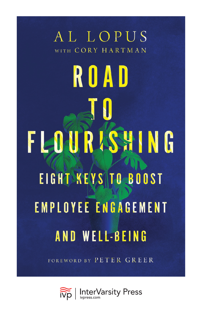# AL LOPUS WITH CORY HARTMAN ROAD FLOURISHING EIGHT KEYS TO BOOST **EMPLOYEE ENGAGEMENT AND WELL-BEING**

FOREWORD BY PETER GREER

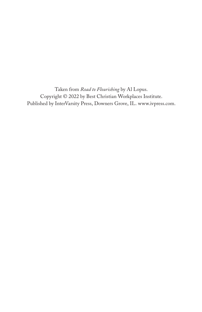Taken from *Road to Flourishing* by Al Lopus. Copyright © 2022 by Best Christian Workplaces Institute. Published by InterVarsity Press, Downers Grove, IL. [www.ivpress.com.](https://www.ivpress.com)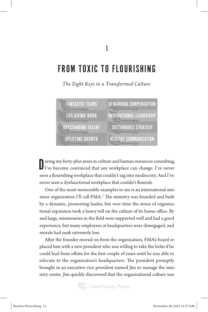# FROM TOXIC TO FLOURISHING

*The Eight Keys to a Transformed Culture*



Uuring my forty-plus years in culture and human resources consulting,<br>I've become convinced that any workplace can change. I've never I've become convinced that any workplace can change. I've never seen a flourishing workplace that couldn't sag into mediocrity. And I've never seen a dysfunctional workplace that couldn't flourish.

One of the most memorable examples to me is an international missions organization I'll call FMA.<sup>1</sup> The ministry was founded and built by a dynamic, pioneering leader, but over time the stress of organizational expansion took a heavy toll on the culture of its home office. By and large, missionaries in the field were supported well and had a good experience, but many employees at headquarters were disengaged, and morale had sunk extremely low.

After the founder moved on from the organization, FMA's board replaced him with a new president who was willing to take the helm if he could lead from offsite for the first couple of years until he was able to relocate to the organization's headquarters. The president promptly brought in an executive vice president named Jim to manage the ministry onsite. Jim quickly discovered that the organizational culture was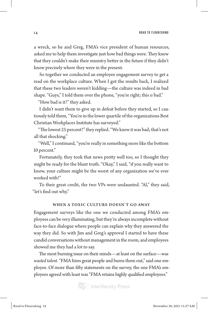14 ROAD TO FLOURISHING

a wreck, so he and Greg, FMA's vice president of human resources, asked me to help them investigate just how bad things were. They knew that they couldn't make their ministry better in the future if they didn't know precisely where they were in the present.

So together we conducted an employee engagement survey to get a read on the workplace culture. When I got the results back, I realized that these two leaders weren't kidding—the culture was indeed in bad shape. "Guys," I told them over the phone, "you're right; this *is* bad."

"How bad is it?" they asked.

I didn't want them to give up in defeat before they started, so I cautiously told them, "You're in the lower quartile of the organizations Best Christian Workplaces Institute has surveyed."

"The lowest 25 percent?" they replied. "We knew it was bad; that's not all that shocking."

"Well," I continued, "you're really in something more like the bottom 10 percent."

Fortunately, they took that news pretty well too, so I thought they might be ready for the blunt truth. "Okay," I said, "if you really want to know, your culture might be the worst of any organization we've ever worked with!"

To their great credit, the two VPs were undaunted. "Al," they said, "let's find out why."

#### WHEN A TOXIC CULTURE DOESN'T GO AWAY

Engagement surveys like the one we conducted among FMA's employees can be very illuminating, but they're always incomplete without face-to-face dialogue where people can explain why they answered the way they did. So with Jim and Greg's approval I started to have these candid conversations without management in the room, and employees showed me they had a lot to say.

The most burning issue on their minds—at least on the surface—was *wasted talent*. "FMA hires great people and burns them out," said one employee. Of more than fifty statements on the survey, the one FMA's employees agreed with least was "FMA retains highly qualified employees."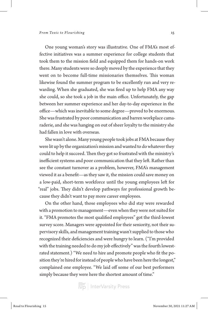One young woman's story was illustrative. One of FMA's most effective initiatives was a summer experience for college students that took them to the mission field and equipped them for hands-on work there. Many students were so deeply moved by the experience that they went on to become full-time missionaries themselves. This woman likewise found the summer program to be excellently run and very rewarding. When she graduated, she was fired up to help FMA any way she could, so she took a job in the main office. Unfortunately, the gap between her summer experience and her day-to-day experience in the office—which was inevitable to some degree—proved to be enormous. She was frustrated by poor communication and barren workplace camaraderie, and she was hanging on out of sheer loyalty to the ministry she had fallen in love with overseas.

She wasn't alone. Many young people took jobs at FMA because they were lit up by the organization's mission and wanted to do whatever they could to help it succeed. Then they got so frustrated with the ministry's inefficient systems and poor communication that they left. Rather than see the constant turnover as a problem, however, FMA's management viewed it as a benefit—as they saw it, the mission could save money on a low-paid, short-term workforce until the young employees left for "real" jobs. They didn't develop pathways for professional growth because they didn't want to pay more career employees.

On the other hand, those employees who did stay were rewarded with a promotion to management—even when they were not suited for it. "FMA promotes the most qualified employees" got the third-lowest survey score. Managers were appointed for their seniority, not their supervisory skills, and management training wasn't supplied to those who recognized their deficiencies and were hungry to learn. ("I'm provided with the training needed to do my job effectively" was the fourth lowestrated statement.) "We need to hire and promote people who fit the position they're hired for instead of people who have been here the longest," complained one employee. "We laid off some of our best performers simply because they were here the shortest amount of time."

 $\left| \widetilde{\widetilde{\text{V}}\text{p}}\right|$  InterVarsity Press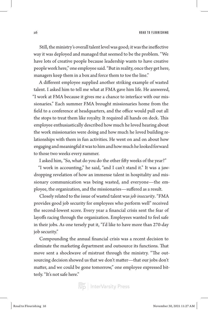Still, the ministry's overall talent level was good; it was the ineffective way it was deployed and managed that seemed to be the problem. "We have lots of creative people because leadership wants to have creative people work here," one employee said. "But in reality, once they get here, managers keep them in a box and force them to toe the line."

A different employee supplied another striking example of wasted talent. I asked him to tell me what at FMA gave him life. He answered, "I work at FMA because it gives me a chance to interface with our missionaries." Each summer FMA brought missionaries home from the field to a conference at headquarters, and the office would pull out all the stops to treat them like royalty. It required all hands on deck. This employee enthusiastically described how much he loved hearing about the work missionaries were doing and how much he loved building relationships with them in fun activities. He went on and on about how engaging and meaningful it was to him and how much he looked forward to those two weeks every summer.

I asked him, "So, what do you do the other fifty weeks of the year?"

"I work in accounting," he said, "and I can't stand it." It was a jawdropping revelation of how an immense talent in hospitality and missionary communication was being wasted, and everyone—the employee, the organization, and the missionaries—suffered as a result.

Closely related to the issue of wasted talent was *job insecurity*. "FMA provides good job security for employees who perform well" received the second-lowest score. Every year a financial crisis sent the fear of layoffs racing through the organization. Employees wanted to feel safe in their jobs. As one tersely put it, "I'd like to have more than 270-day job security."

Compounding the annual financial crisis was a recent decision to eliminate the marketing department and outsource its functions. That move sent a shockwave of mistrust through the ministry. "The outsourcing decision showed us that we don't matter—that our jobs don't matter, and we could be gone tomorrow," one employee expressed bitterly. "It's not safe here."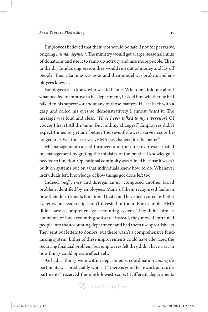Employees believed that their jobs would be safe if not for pervasive, ongoing *mismanagement*. The ministry would get a large, seasonal influx of donations and use it to ramp up activity and hire more people. Then in the dry fundraising season they would run out of money and lay off people. Their planning was poor and their model was broken, and employees knew it.

Employees also knew who was to blame. When one told me about what needed to improve in his department, I asked him whether he had talked to his supervisor about any of those matters. He sat back with a gasp and rolled his eyes so demonstratively I almost *heard* it. The message was loud and clear: "*Have I ever talked to my supervisor?* Of course I have! All the time! But nothing changes!" Employees didn't expect things to get any better; the seventh-lowest survey score belonged to "Over the past year, FMA has changed for the better."

Mismanagement caused turnover, and then turnover exacerbated mismanagement by gutting the ministry of the practical knowledge it needed to function. Operational continuity was ruined because it wasn't built on systems but on what individuals knew how to do. Whenever individuals left, knowledge of how things got done left too.

Indeed, *inefficiency* and *disorganization* composed another broad problem identified by employees. Many of them recognized faults in how their departments functioned that could have been cured by better systems, but leadership hadn't invested in them. For example, FMA didn't have a comprehensive accounting system. They didn't hire accountants or buy accounting software; instead, they moved untrained people into the accounting department and had them use spreadsheets. They sent out letters to donors, but there wasn't a comprehensive fundraising system. Either of these improvements could have alleviated the recurring financial problem, but employees felt they didn't have a say in how things could operate effectively.

As bad as things were within departments, coordination *among* departments was predictably worse. ("There is good teamwork across departments" received the ninth-lowest score.) Different departments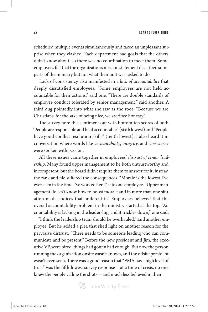scheduled multiple events simultaneously and faced an unpleasant surprise when they clashed. Each department had goals that the others didn't know about, so there was no coordination to meet them. Some employees felt that the organization's mission statement described some parts of the ministry but not what their unit was tasked to do.

Lack of consistency also manifested in a *lack of accountability* that deeply dissatisfied employees. "Some employees are not held accountable for their actions," said one. "There are double standards of employee conduct tolerated by senior management," said another. A third dug pointedly into what she saw as the root: "Because we are Christians, for the sake of being nice, we sacrifice honesty."

The survey bore this sentiment out with bottom-ten scores of both "People are responsible and held accountable" (sixth lowest) and "People have good conflict resolution skills" (tenth lowest). I also heard it in conversation where words like *accountability*, *integrity*, and *consistency* were spoken with passion.

All these issues came together in employees' *distrust of senior leadership*. Many found upper management to be both untrustworthy and incompetent, but the board didn't require them to answer for it; instead the rank and file suffered the consequences. "Morale is the lowest I've ever seen in the time I've worked here," said one employee. "Upper management doesn't know how to boost morale and in more than one situation made choices that undercut it." Employees believed that the overall accountability problem in the ministry started at the top. "Accountability is lacking in the leadership, and it trickles down," one said.

"I think the leadership team should be overhauled," said another employee. But he added a plea that shed light on another reason for the pervasive distrust: "There needs to be someone leading who can communicate and be present." Before the new president and Jim, the executive VP, were hired, things had gotten bad enough. But now the person running the organization onsite wasn't known, and the offsite president wasn't even seen. There was a good reason that "FMA has a high level of trust" was the fifth-lowest survey response—at a time of crisis, no one knew the people calling the shots—and much less believed in them.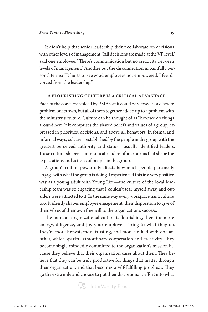It didn't help that senior leadership didn't collaborate on decisions with other levels of management. "All decisions are made at the VP level," said one employee. "There's communication but no creativity between levels of management." Another put the disconnection in painfully personal terms: "It hurts to see good employees not empowered. I feel divorced from the leadership."

### A FLOURISHING CULTURE IS A CRITICAL ADVANTAGE

Each of the concerns voiced by FMA's staff could be viewed as a discrete problem on its own, but all of them together added up to a problem with the ministry's culture. Culture can be thought of as "how we do things around here."2 It comprises the shared beliefs and values of a group, expressed in priorities, decisions, and above all behaviors. In formal and informal ways, culture is established by the people in the group with the greatest perceived authority and status—usually identified leaders. These culture-shapers communicate and reinforce norms that shape the expectations and actions of people in the group.

A group's culture powerfully affects how much people personally engage with what the group is doing. I experienced this in a very positive way as a young adult with Young Life—the culture of the local leadership team was so engaging that I couldn't tear myself away, and outsiders were attracted to it. In the same way every workplace has a culture too. It silently shapes employee engagement, their disposition to give of themselves of their own free will to the organization's success.

The more an organizational culture is flourishing, then, the more energy, diligence, and joy your employees bring to what they do. They're more honest, more trusting, and more unified with one another, which sparks extraordinary cooperation and creativity. They become single-mindedly committed to the organization's mission because they believe that their organization cares about them. They believe that they can be truly productive for things that matter through their organization, and that becomes a self-fulfilling prophecy. They go the extra mile and choose to put their discretionary effort into what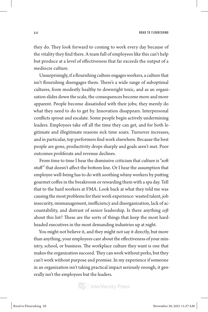they do. They look forward to coming to work every day because of the vitality they find there. A team full of employees like this can't help but produce at a level of effectiveness that far exceeds the output of a mediocre culture.

Unsurprisingly, if a flourishing culture engages workers, a culture that isn't flourishing disengages them. There's a wide range of suboptimal cultures, from modestly healthy to downright toxic, and as an organization slides down the scale, the consequences become more and more apparent. People become dissatisfied with their jobs; they merely do what they need to do to get by. Innovation disappears. Interpersonal conflicts sprout and escalate. Some people begin actively undermining leaders. Employees take off all the time they can get, and for both legitimate and illegitimate reasons sick time soars. Turnover increases, and in particular, top performers find work elsewhere. Because the best people are gone, productivity drops sharply and goals aren't met. Poor outcomes proliferate and revenue declines.

From time to time I hear the dismissive criticism that culture is "soft stuff" that doesn't affect the bottom line. Or I hear the assumption that employee well-being has to do with soothing whiny workers by putting gourmet coffee in the breakroom or rewarding them with a spa day. Tell that to the hard workers at FMA. Look back at what they told me was causing the most problems for their work experience: wasted talent, job insecurity, mismanagement, inefficiency and disorganization, lack of accountability, and distrust of senior leadership. Is there anything *soft* about this list? These are the sorts of things that keep the most hardheaded executives in the most demanding industries up at night.

You might not believe it, and they might not say it directly, but more than anything, your employees care about the effectiveness of your ministry, school, or business. The workplace culture they want is one that makes the organization succeed. They can work without perks, but they can't work without purpose and promise. In my experience if someone in an organization isn't taking practical impact seriously enough, it generally isn't the employees but the leaders.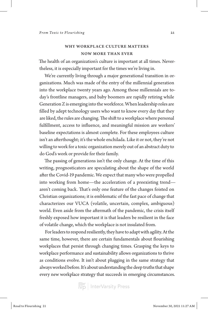## WHY WORKPLACE CULTURE MATTERS NOW MORE THAN EVER

The health of an organization's culture is important at all times. Nevertheless, it is especially important for the times we're living in.

We're currently living through a major generational transition in organizations. Much was made of the entry of the millennial generation into the workplace twenty years ago. Among those millennials are today's frontline managers, and baby boomers are rapidly retiring while Generation Z is emerging into the workforce. When leadership roles are filled by adept technology users who want to know every day that they are liked, the rules are changing. The shift to a workplace where personal fulfillment, access to influence, and meaningful mission are workers' baseline expectations is almost complete. For these employees culture isn't an afterthought; it's the whole enchilada. Like it or not, they're not willing to work for a toxic organization merely out of an abstract duty to do God's work or provide for their family.

The passing of generations isn't the only change. At the time of this writing, prognosticators are speculating about the shape of the world after the Covid-19 pandemic. We expect that many who were propelled into working from home—the acceleration of a preexisting trend aren't coming back. That's only one feature of the changes foisted on Christian organizations; it is emblematic of the fast pace of change that characterizes our VUCA (volatile, uncertain, complex, ambiguous) world. Even aside from the aftermath of the pandemic, the crisis itself freshly exposed how important it is that leaders be resilient in the face of volatile change, which the workplace is not insulated from.

For leaders to respond resiliently, they have to adapt with agility. At the same time, however, there are certain fundamentals about flourishing workplaces that persist through changing times. Grasping the keys to workplace performance and sustainability allows organizations to thrive as conditions evolve. It isn't about plugging in the same strategy that always worked before. It's about understanding the deep truths that shape every new workplace strategy that succeeds in emerging circumstances.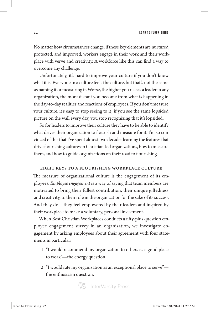22 ROAD TO FLOURISHING

No matter how circumstances change, if these key elements are nurtured, protected, and improved, workers engage in their work and their workplace with verve and creativity. A workforce like this can find a way to overcome any challenge.

Unfortunately, it's hard to improve your culture if you don't know what it is. Everyone in a culture feels the culture, but that's not the same as naming it or measuring it. Worse, the higher you rise as a leader in any organization, the more distant you become from what is happening in the day-to-day realities and reactions of employees. If you don't measure your culture, it's easy to stop seeing to it; if you see the same lopsided picture on the wall every day, you stop recognizing that it's lopsided.

So for leaders to improve their culture they have to be able to identify what drives their organization to flourish and measure for it. I'm so convinced of this that I've spent almost two decades learning the features that drive flourishing cultures in Christian-led organizations, how to measure them, and how to guide organizations on their road to flourishing.

#### EIGHT KEYS TO A FLOURISHING WORKPLACE CULTURE

The measure of organizational culture is the engagement of its employees. *Employee engagement* is a way of saying that team members are motivated to bring their fullest contribution, their unique giftedness and creativity, to their role in the organization for the sake of its success. And they do—they feel empowered by their leaders and inspired by their workplace to make a voluntary, personal investment.

When Best Christian Workplaces conducts a fifty-plus question employee engagement survey in an organization, we investigate engagement by asking employees about their agreement with four statements in particular:

- 1. "I would recommend my organization to others as a good place to work"—the energy question.
- 2. "I would rate my organization as an exceptional place to serve" the enthusiasm question.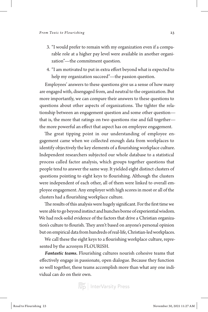- 3. "I would prefer to remain with my organization even if a comparable role at a higher pay level were available in another organization"—the commitment question.
- 4. "I am motivated to put in extra effort beyond what is expected to help my organization succeed"—the passion question.

Employees' answers to these questions give us a sense of how many are engaged with, disengaged from, and neutral to the organization. But more importantly, we can compare their answers to these questions to questions about other aspects of organizations. The tighter the relationship between an engagement question and some other question that is, the more that ratings on two questions rise and fall together the more powerful an effect that aspect has on employee engagement.

The great tipping point in our understanding of employee engagement came when we collected enough data from workplaces to identify objectively the key elements of a flourishing workplace culture. Independent researchers subjected our whole database to a statistical process called factor analysis, which groups together questions that people tend to answer the same way. It yielded eight distinct clusters of questions pointing to eight keys to flourishing. Although the clusters were independent of each other, all of them were linked to overall employee engagement. Any employer with high scores in most or all of the clusters had a flourishing workplace culture.

The results of this analysis were hugely significant. For the first time we were able to go beyond instinct and hunches borne of experiential wisdom. We had rock-solid evidence of the factors that drive a Christian organization's culture to flourish. They aren't based on anyone's personal opinion but on empirical data from hundreds of real-life, Christian-led workplaces.

We call these the eight keys to a flourishing workplace culture, represented by the acronym FLOURISH.

*Fantastic teams.* Flourishing cultures nourish cohesive teams that effectively engage in passionate, open dialogue. Because they function so well together, these teams accomplish more than what any one individual can do on their own.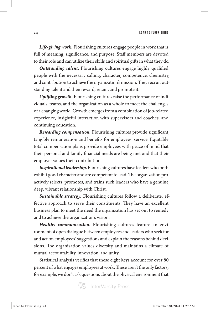*Life-giving work.* Flourishing cultures engage people in work that is full of meaning, significance, and purpose. Staff members are devoted to their role and can utilize their skills and spiritual gifts in what they do.

*Outstanding talent.* Flourishing cultures engage highly qualified people with the necessary calling, character, competence, chemistry, and contribution to achieve the organization's mission. They recruit outstanding talent and then reward, retain, and promote it.

*Uplifting growth.* Flourishing cultures raise the performance of individuals, teams, and the organization as a whole to meet the challenges of a changing world. Growth emerges from a combination of job-related experience, insightful interaction with supervisors and coaches, and continuing education.

*Rewarding compensation.* Flourishing cultures provide significant, tangible remuneration and benefits for employees' service. Equitable total compensation plans provide employees with peace of mind that their personal and family financial needs are being met and that their employer values their contribution.

*Inspirational leadership.* Flourishing cultures have leaders who both exhibit good character and are competent to lead. The organization proactively selects, promotes, and trains such leaders who have a genuine, deep, vibrant relationship with Christ.

*Sustainable strategy.* Flourishing cultures follow a deliberate, effective approach to serve their constituents. They have an excellent business plan to meet the need the organization has set out to remedy and to achieve the organization's vision.

*Healthy communication.* Flourishing cultures feature an environment of open dialogue between employees and leaders who seek for and act on employees' suggestions and explain the reasons behind decisions. The organization values diversity and maintains a climate of mutual accountability, innovation, and unity.

Statistical analysis verifies that these eight keys account for over 80 percent of what engages employees at work. These aren't the only factors; for example, we don't ask questions about the physical environment that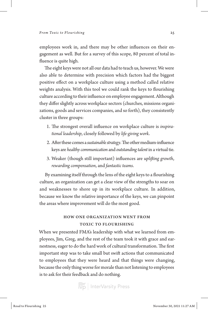employees work in, and there may be other influences on their engagement as well. But for a survey of this scope, 80 percent of total influence is quite high.

The eight keys were not all our data had to teach us, however. We were also able to determine with precision which factors had the biggest positive effect on a workplace culture using a method called relative weights analysis. With this tool we could rank the keys to flourishing culture according to their influence on employee engagement. Although they differ slightly across workplace sectors (churches, missions organizations, goods and services companies, and so forth), they consistently cluster in three groups:

- 1. The strongest overall influence on workplace culture is *inspirational leadership*, closely followed by *life-giving work*.
- 2. After these comes a *sustainable strategy*. The other medium-influence keys are *healthy communication* and *outstanding talent* in a virtual tie.
- 3. Weaker (though still important) influences are *uplifting growth*, *rewarding compensation*, and *fantastic teams*.

By examining itself through the lens of the eight keys to a flourishing culture, an organization can get a clear view of the strengths to soar on and weaknesses to shore up in its workplace culture. In addition, because we know the relative importance of the keys, we can pinpoint the areas where improvement will do the most good.

## HOW ONE ORGANIZATION WENT FROM TOXIC TO FLOURISHING

When we presented FMA's leadership with what we learned from employees, Jim, Greg, and the rest of the team took it with grace and earnestness, eager to do the hard work of cultural transformation. The first important step was to take small but swift actions that communicated to employees that they were heard and that things were changing, because the only thing worse for morale than not listening to employees is to ask for their feedback and do nothing.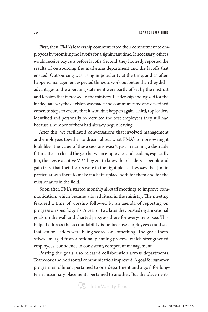First, then, FMA's leadership communicated their commitment to employees by promising no layoffs for a significant time. If necessary, offices would receive pay cuts before layoffs. Second, they honestly reported the results of outsourcing the marketing department and the layoffs that ensued. Outsourcing was rising in popularity at the time, and as often happens, management expected things to work out better than they did advantages to the operating statement were partly offset by the mistrust and tension that increased in the ministry. Leadership apologized for the inadequate way the decision was made and communicated and described concrete steps to ensure that it wouldn't happen again. Third, top leaders identified and personally re-recruited the best employees they still had, because a number of them had already begun leaving.

After this, we facilitated conversations that involved management and employees together to dream about what FMA's tomorrow might look like. The value of these sessions wasn't just in naming a desirable future. It also closed the gap between employees and leaders, especially Jim, the new executive VP. They got to know their leaders as people and gain trust that their hearts were in the right place. They saw that Jim in particular was there to make it a better place both for them and for the missionaries in the field.

Soon after, FMA started monthly all-staff meetings to improve communication, which became a loved ritual in the ministry. The meeting featured a time of worship followed by an agenda of reporting on progress on specific goals. A year or two later they posted organizational goals on the wall and charted progress there for everyone to see. This helped address the accountability issue because employees could see that senior leaders were being scored on something. The goals themselves emerged from a rational planning process, which strengthened employees' confidence in consistent, competent management.

Posting the goals also released collaboration across departments. Teamwork and horizontal communication improved. A goal for summer program enrollment pertained to one department and a goal for longterm missionary placements pertained to another. But the placements

 $\left| \widetilde{\widetilde{\text{hyp}}} \right|$  InterVarsity Press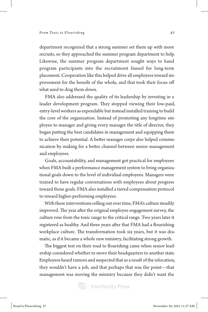department recognized that a strong summer set them up with more recruits, so they approached the summer program department to help. Likewise, the summer program department sought ways to hand program participants into the recruitment funnel for long-term placement. Cooperation like this helped drive all employees toward improvement for the benefit of the whole, and that took their focus off what used to drag them down.

FMA also addressed the quality of its leadership by investing in a leader development program. They stopped viewing their low-paid, entry-level workers as expendable but instead installed training to build the core of the organization. Instead of promoting any longtime employee to manager and giving every manager the title of director, they began putting the best candidates in management and equipping them to achieve their potential. A better manager corps also helped communication by making for a better channel between senior management and employees.

Goals, accountability, and management got practical for employees when FMA built a performance management system to bring organizational goals down to the level of individual employees. Managers were trained to have regular conversations with employees about progress toward those goals. FMA also installed a tiered compensation protocol to reward higher-performing employees.

With these interventions rolling out over time, FMA's culture steadily improved. The year after the original employee engagement survey, the culture rose from the toxic range to the critical range. Two years later it registered as healthy. And three years after that FMA had a flourishing workplace culture. The transformation took six years, but it was dramatic, as if it became a whole new ministry, facilitating strong growth.

The biggest test on their road to flourishing came when senior leadership considered whether to move their headquarters to another state. Employees heard rumors and suspected that as a result of the relocation, they wouldn't have a job, and that perhaps that was the point—that management was moving the ministry because they didn't want the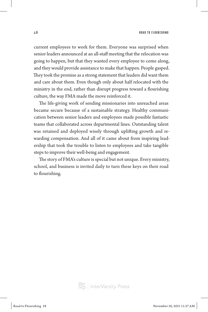28 **ROAD TO FLOURISHING** 

current employees to work for them. Everyone was surprised when senior leaders announced at an all-staff meeting that the relocation was going to happen, but that they wanted every employee to come along, and they would provide assistance to make that happen. People gasped. They took the promise as a strong statement that leaders did want them and care about them. Even though only about half relocated with the ministry in the end, rather than disrupt progress toward a flourishing culture, the way FMA made the move reinforced it.

The life-giving work of sending missionaries into unreached areas became secure because of a sustainable strategy. Healthy communication between senior leaders and employees made possible fantastic teams that collaborated across departmental lines. Outstanding talent was retained and deployed wisely through uplifting growth and rewarding compensation. And all of it came about from inspiring leadership that took the trouble to listen to employees and take tangible steps to improve their well-being and engagement.

The story of FMA's culture is special but not unique. Every ministry, school, and business is invited daily to turn these keys on their road to flourishing.

InterVarsity Press